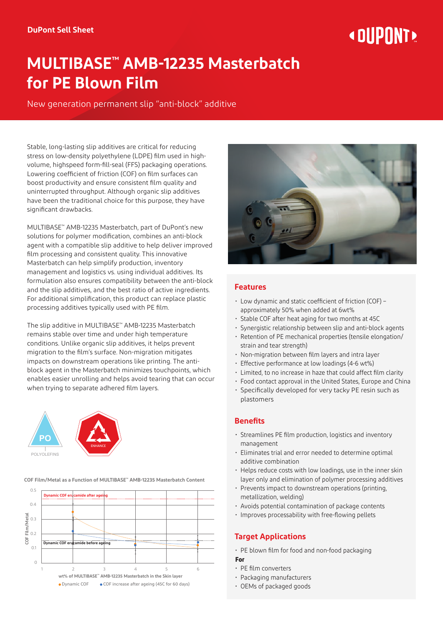# « DIIPNNT»

# **MULTIBASE™ AMB-12235 Masterbatch for PE Blown Film**

New generation permanent slip "anti-block" additive

Stable, long-lasting slip additives are critical for reducing stress on low-density polyethylene (LDPE) film used in highvolume, highspeed form-fill-seal (FFS) packaging operations. Lowering coefficient of friction (COF) on film surfaces can boost productivity and ensure consistent film quality and uninterrupted throughput. Although organic slip additives have been the traditional choice for this purpose, they have significant drawbacks.

MULTIBASE™ AMB-12235 Masterbatch, part of DuPont's new solutions for polymer modification, combines an anti-block agent with a compatible slip additive to help deliver improved film processing and consistent quality. This innovative Masterbatch can help simplify production, inventory management and logistics vs. using individual additives. Its formulation also ensures compatibility between the anti-block and the slip additives, and the best ratio of active ingredients. For additional simplification, this product can replace plastic processing additives typically used with PE film.

The slip additive in MULTIBASE™ AMB-12235 Masterbatch remains stable over time and under high temperature conditions. Unlike organic slip additives, it helps prevent migration to the film's surface. Non-migration mitigates impacts on downstream operations like printing. The antiblock agent in the Masterbatch minimizes touchpoints, which enables easier unrolling and helps avoid tearing that can occur when trying to separate adhered film layers.



0.5 **COF Film/Metal as a Function of MULTIBASE™ AMB-12235 Masterbatch Content**





## **Features**

- Low dynamic and static coefficient of friction (COF) approximately 50% when added at 6wt%
- Stable COF after heat aging for two months at 45C
- Synergistic relationship between slip and anti-block agents
- Retention of PE mechanical properties (tensile elongation/ strain and tear strength)
- Non-migration between film layers and intra layer
- Effective performance at low loadings (4-6 wt%)
- Limited, to no increase in haze that could affect film clarity
- Food contact approval in the United States, Europe and China
- Specifically developed for very tacky PE resin such as plastomers

#### **Benefits**

- Streamlines PE film production, logistics and inventory management
- Eliminates trial and error needed to determine optimal additive combination
- Helps reduce costs with low loadings, use in the inner skin layer only and elimination of polymer processing additives
- Prevents impact to downstream operations (printing, metallization, welding)
- Avoids potential contamination of package contents
- Improves processability with free-flowing pellets

## **Target Applications**

- PE blown film for food and non-food packaging
- **For**
- PE film converters
- Packaging manufacturers
- OEMs of packaged goods